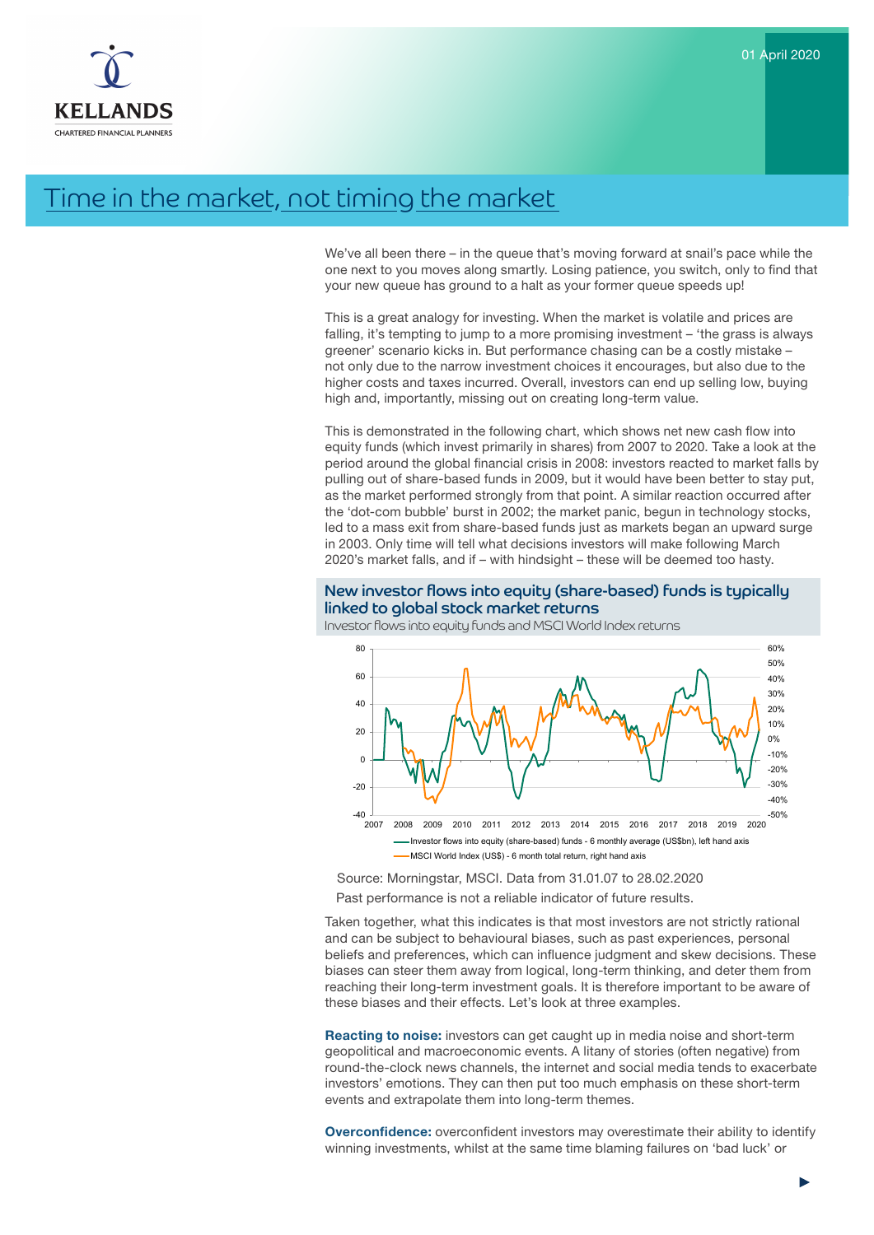

# Time in the market, not timing the market

We've all been there – in the queue that's moving forward at snail's pace while the one next to you moves along smartly. Losing patience, you switch, only to find that your new queue has ground to a halt as your former queue speeds up!

This is a great analogy for investing. When the market is volatile and prices are falling, it's tempting to jump to a more promising investment – 'the grass is always greener' scenario kicks in. But performance chasing can be a costly mistake – not only due to the narrow investment choices it encourages, but also due to the higher costs and taxes incurred. Overall, investors can end up selling low, buying high and, importantly, missing out on creating long-term value.

equity funds (which invest primarily in shares) from 2007 to 2020. Take a look at the This is demonstrated in the following chart, which shows net new cash flow into period around the global financial crisis in 2008: investors reacted to market falls by pulling out of share-based funds in 2009, but it would have been better to stay put, as the market performed strongly from that point. A similar reaction occurred after the 'dot-com bubble' burst in 2002; the market panic, begun in technology stocks, led to a mass exit from share-based funds just as markets began an upward surge in 2003. Only time will tell what decisions investors will make following March 2020's market falls, and if – with hindsight – these will be deemed too hasty.

## New investor flows into equity (share-based) funds is typically linked to global stock market returns

Investor flows into equity funds and MSCI World Index returns



Source: Morningstar, MSCI. Data from 31.01.07 to 28.02.2020 Past performance is not a reliable indicator of future results.

Taken together, what this indicates is that most investors are not strictly rational and can be subject to behavioural biases, such as past experiences, personal beliefs and preferences, which can influence judgment and skew decisions. These biases can steer them away from logical, long-term thinking, and deter them from reaching their long-term investment goals. It is therefore important to be aware of these biases and their effects. Let's look at three examples.

Reacting to noise: investors can get caught up in media noise and short-term geopolitical and macroeconomic events. A litany of stories (often negative) from round-the-clock news channels, the internet and social media tends to exacerbate investors' emotions. They can then put too much emphasis on these short-term events and extrapolate them into long-term themes.

**Overconfidence:** overconfident investors may overestimate their ability to identify winning investments, whilst at the same time blaming failures on 'bad luck' or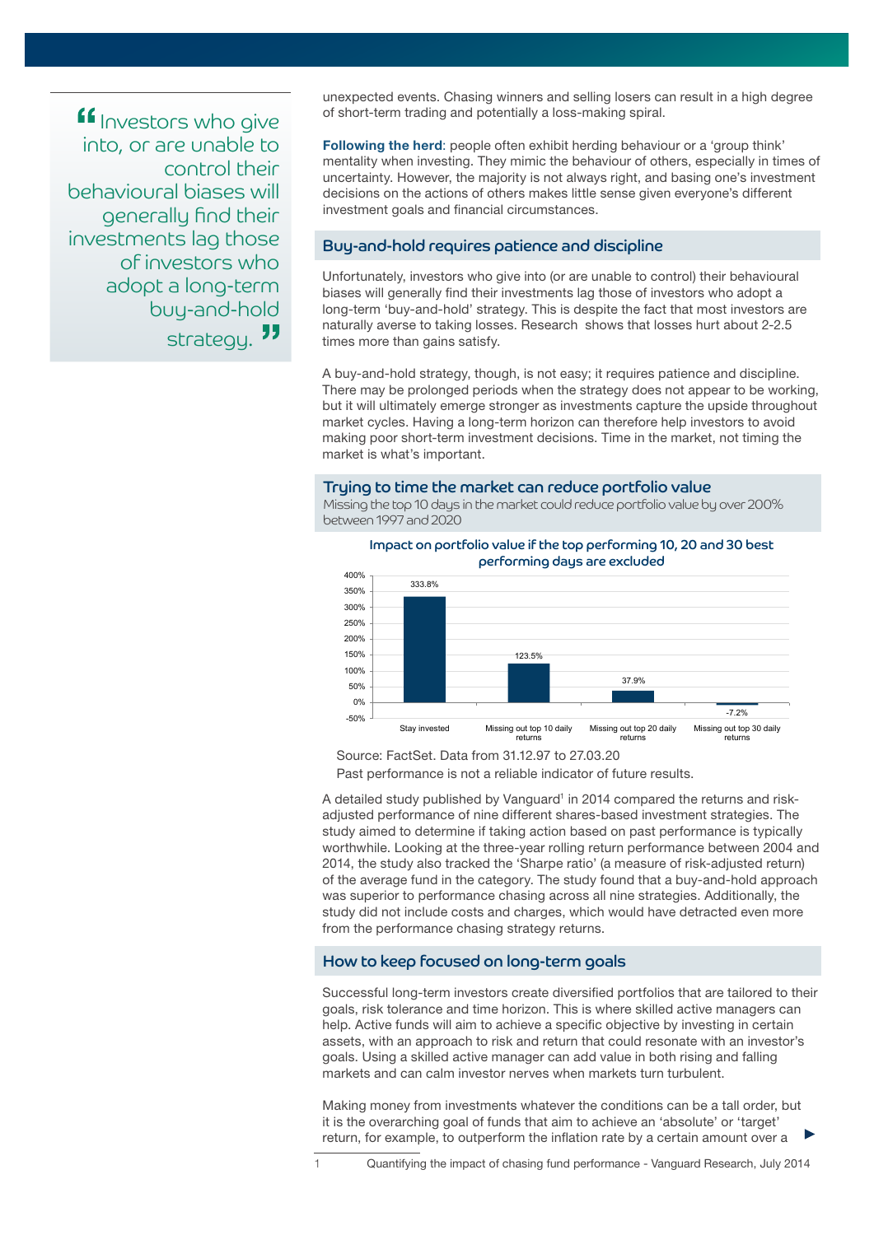Investors who give into, or are unable to control their behavioural biases will generally find their investments lag those of investors who adopt a long-term buy-and-hold strategy.<sup>33</sup>

unexpected events. Chasing winners and selling losers can result in a high degree of short-term trading and potentially a loss-making spiral.

**Following the herd:** people often exhibit herding behaviour or a 'group think' mentality when investing. They mimic the behaviour of others, especially in times of uncertainty. However, the majority is not always right, and basing one's investment decisions on the actions of others makes little sense given everyone's different investment goals and financial circumstances.

## Buy-and-hold requires patience and discipline

Unfortunately, investors who give into (or are unable to control) their behavioural biases will generally find their investments lag those of investors who adopt a long-term 'buy-and-hold' strategy. This is despite the fact that most investors are naturally averse to taking losses. Research shows that losses hurt about 2-2.5 times more than gains satisfy.

A buy-and-hold strategy, though, is not easy; it requires patience and discipline. There may be prolonged periods when the strategy does not appear to be working, but it will ultimately emerge stronger as investments capture the upside throughout market cycles. Having a long-term horizon can therefore help investors to avoid making poor short-term investment decisions. Time in the market, not timing the market is what's important.

#### Trying to time the market can reduce portfolio value

Missing the top 10 days in the market could reduce portfolio value by over 200% between 1997 and 2020



Impact on portfolio value if the top performing 10, 20 and 30 best

Source: FactSet. Data from 31.12.97 to 27.03.20 Past performance is not a reliable indicator of future results.

A detailed study published by Vanguard<sup>1</sup> in 2014 compared the returns and riskadjusted performance of nine different shares-based investment strategies. The study aimed to determine if taking action based on past performance is typically worthwhile. Looking at the three-year rolling return performance between 2004 and 2014, the study also tracked the 'Sharpe ratio' (a measure of risk-adjusted return) of the average fund in the category. The study found that a buy-and-hold approach was superior to performance chasing across all nine strategies. Additionally, the study did not include costs and charges, which would have detracted even more from the performance chasing strategy returns.

### How to keep focused on long-term goals

Successful long-term investors create diversified portfolios that are tailored to their goals, risk tolerance and time horizon. This is where skilled active managers can help. Active funds will aim to achieve a specific objective by investing in certain assets, with an approach to risk and return that could resonate with an investor's goals. Using a skilled active manager can add value in both rising and falling markets and can calm investor nerves when markets turn turbulent.

Making money from investments whatever the conditions can be a tall order, but it is the overarching goal of funds that aim to achieve an 'absolute' or 'target' return, for example, to outperform the inflation rate by a certain amount over a